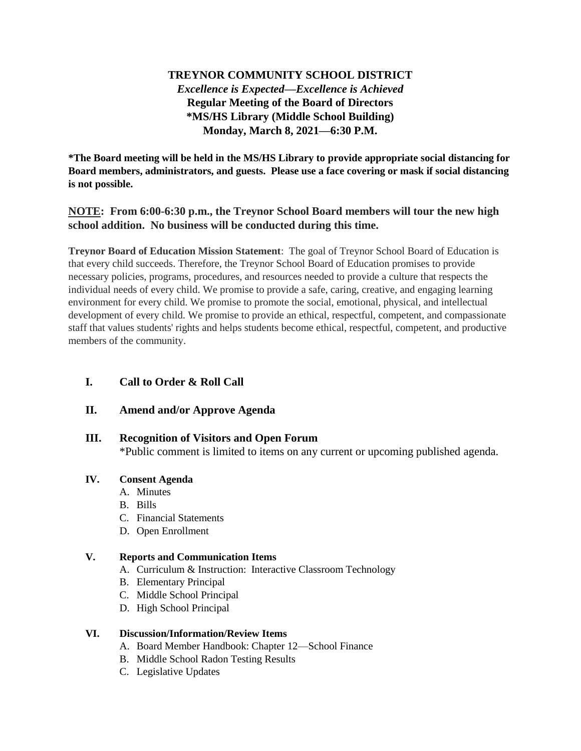# **TREYNOR COMMUNITY SCHOOL DISTRICT** *Excellence is Expected—Excellence is Achieved* **Regular Meeting of the Board of Directors \*MS/HS Library (Middle School Building) Monday, March 8, 2021—6:30 P.M.**

**\*The Board meeting will be held in the MS/HS Library to provide appropriate social distancing for Board members, administrators, and guests. Please use a face covering or mask if social distancing is not possible.**

# **NOTE: From 6:00-6:30 p.m., the Treynor School Board members will tour the new high school addition. No business will be conducted during this time.**

**Treynor Board of Education Mission Statement**: The goal of Treynor School Board of Education is that every child succeeds. Therefore, the Treynor School Board of Education promises to provide necessary policies, programs, procedures, and resources needed to provide a culture that respects the individual needs of every child. We promise to provide a safe, caring, creative, and engaging learning environment for every child. We promise to promote the social, emotional, physical, and intellectual development of every child. We promise to provide an ethical, respectful, competent, and compassionate staff that values students' rights and helps students become ethical, respectful, competent, and productive members of the community.

# **I. Call to Order & Roll Call**

# **II. Amend and/or Approve Agenda**

# **III. Recognition of Visitors and Open Forum**

\*Public comment is limited to items on any current or upcoming published agenda.

### **IV. Consent Agenda**

- A. Minutes
- B. Bills
- C. Financial Statements
- D. Open Enrollment

#### **V. Reports and Communication Items**

- A. Curriculum & Instruction: Interactive Classroom Technology
- B. Elementary Principal
- C. Middle School Principal
- D. High School Principal

#### **VI. Discussion/Information/Review Items**

- A. Board Member Handbook: Chapter 12—School Finance
- B. Middle School Radon Testing Results
- C. Legislative Updates